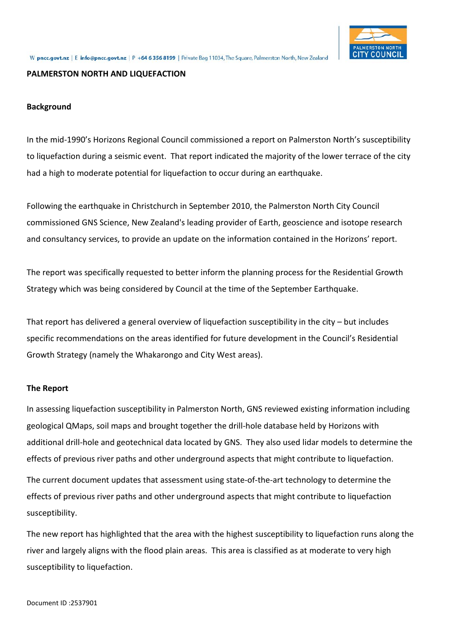

### **PALMERSTON NORTH AND LIQUEFACTION**

## **Background**

In the mid-1990's Horizons Regional Council commissioned a report on Palmerston North's susceptibility to liquefaction during a seismic event. That report indicated the majority of the lower terrace of the city had a high to moderate potential for liquefaction to occur during an earthquake.

Following the earthquake in Christchurch in September 2010, the Palmerston North City Council commissioned GNS Science, New Zealand's leading provider of Earth, geoscience and isotope research and consultancy services, to provide an update on the information contained in the Horizons' report.

The report was specifically requested to better inform the planning process for the Residential Growth Strategy which was being considered by Council at the time of the September Earthquake.

That report has delivered a general overview of liquefaction susceptibility in the city – but includes specific recommendations on the areas identified for future development in the Council's Residential Growth Strategy (namely the Whakarongo and City West areas).

### **The Report**

In assessing liquefaction susceptibility in Palmerston North, GNS reviewed existing information including geological QMaps, soil maps and brought together the drill-hole database held by Horizons with additional drill-hole and geotechnical data located by GNS. They also used lidar models to determine the effects of previous river paths and other underground aspects that might contribute to liquefaction.

The current document updates that assessment using state-of-the-art technology to determine the effects of previous river paths and other underground aspects that might contribute to liquefaction susceptibility.

The new report has highlighted that the area with the highest susceptibility to liquefaction runs along the river and largely aligns with the flood plain areas. This area is classified as at moderate to very high susceptibility to liquefaction.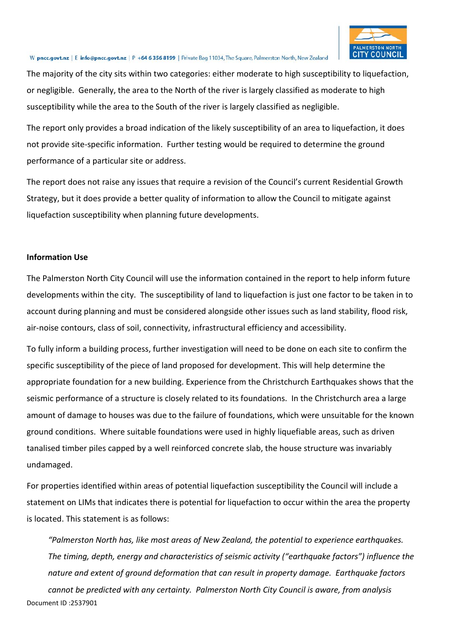

## W pncc.govt.nz | E info@pncc.govt.nz | P +64 6 356 8199 | Private Bag 11034, The Square, Palmerston North, New Zealand

The majority of the city sits within two categories: either moderate to high susceptibility to liquefaction, or negligible. Generally, the area to the North of the river is largely classified as moderate to high susceptibility while the area to the South of the river is largely classified as negligible.

The report only provides a broad indication of the likely susceptibility of an area to liquefaction, it does not provide site-specific information. Further testing would be required to determine the ground performance of a particular site or address.

The report does not raise any issues that require a revision of the Council's current Residential Growth Strategy, but it does provide a better quality of information to allow the Council to mitigate against liquefaction susceptibility when planning future developments.

## **Information Use**

The Palmerston North City Council will use the information contained in the report to help inform future developments within the city. The susceptibility of land to liquefaction is just one factor to be taken in to account during planning and must be considered alongside other issues such as land stability, flood risk, air-noise contours, class of soil, connectivity, infrastructural efficiency and accessibility.

To fully inform a building process, further investigation will need to be done on each site to confirm the specific susceptibility of the piece of land proposed for development. This will help determine the appropriate foundation for a new building. Experience from the Christchurch Earthquakes shows that the seismic performance of a structure is closely related to its foundations. In the Christchurch area a large amount of damage to houses was due to the failure of foundations, which were unsuitable for the known ground conditions. Where suitable foundations were used in highly liquefiable areas, such as driven tanalised timber piles capped by a well reinforced concrete slab, the house structure was invariably undamaged.

For properties identified within areas of potential liquefaction susceptibility the Council will include a statement on LIMs that indicates there is potential for liquefaction to occur within the area the property is located. This statement is as follows:

*"Palmerston North has, like most areas of New Zealand, the potential to experience earthquakes. The timing, depth, energy and characteristics of seismic activity ("earthquake factors") influence the nature and extent of ground deformation that can result in property damage. Earthquake factors* 

Document ID :2537901 *cannot be predicted with any certainty. Palmerston North City Council is aware, from analysis*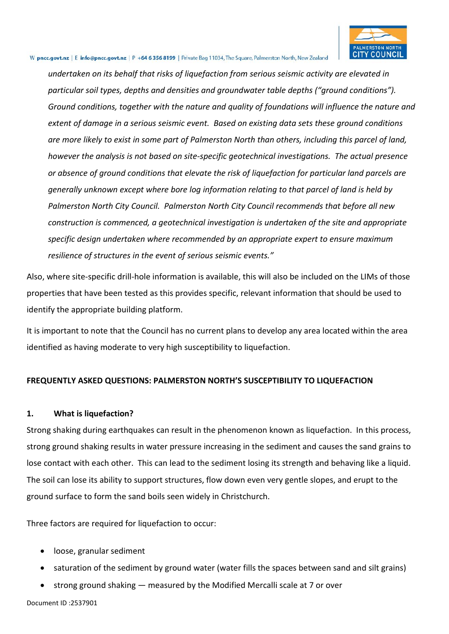

#### W pncc.govt.nz | E info@pncc.govt.nz | P +64 6 356 8199 | Private Bag 11034, The Square, Palmerston North, New Zealand

*undertaken on its behalf that risks of liquefaction from serious seismic activity are elevated in particular soil types, depths and densities and groundwater table depths ("ground conditions"). Ground conditions, together with the nature and quality of foundations will influence the nature and extent of damage in a serious seismic event. Based on existing data sets these ground conditions are more likely to exist in some part of Palmerston North than others, including this parcel of land, however the analysis is not based on site-specific geotechnical investigations. The actual presence or absence of ground conditions that elevate the risk of liquefaction for particular land parcels are generally unknown except where bore log information relating to that parcel of land is held by Palmerston North City Council. Palmerston North City Council recommends that before all new construction is commenced, a geotechnical investigation is undertaken of the site and appropriate specific design undertaken where recommended by an appropriate expert to ensure maximum resilience of structures in the event of serious seismic events."*

Also, where site-specific drill-hole information is available, this will also be included on the LIMs of those properties that have been tested as this provides specific, relevant information that should be used to identify the appropriate building platform.

It is important to note that the Council has no current plans to develop any area located within the area identified as having moderate to very high susceptibility to liquefaction.

## **FREQUENTLY ASKED QUESTIONS: PALMERSTON NORTH'S SUSCEPTIBILITY TO LIQUEFACTION**

## **1. What is liquefaction?**

Strong shaking during earthquakes can result in the phenomenon known as liquefaction. In this process, strong ground shaking results in water pressure increasing in the sediment and causes the sand grains to lose contact with each other. This can lead to the sediment losing its strength and behaving like a liquid. The soil can lose its ability to support structures, flow down even very gentle slopes, and erupt to the ground surface to form the sand boils seen widely in Christchurch.

Three factors are required for liquefaction to occur:

- loose, granular sediment
- saturation of the sediment by ground water (water fills the spaces between sand and silt grains)
- strong ground shaking measured by the Modified Mercalli scale at 7 or over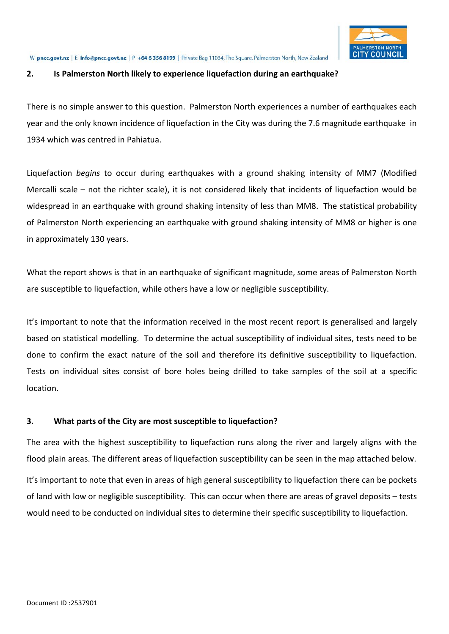

#### W pncc.govt.nz | E info@pncc.govt.nz | P +64 6 356 8199 | Private Bag 11034, The Square, Palmerston North, New Zealand

## **2. Is Palmerston North likely to experience liquefaction during an earthquake?**

There is no simple answer to this question. Palmerston North experiences a number of earthquakes each year and the only known incidence of liquefaction in the City was during the 7.6 magnitude earthquake in 1934 which was centred in Pahiatua.

Liquefaction *begins* to occur during earthquakes with a ground shaking intensity of MM7 (Modified Mercalli scale – not the richter scale), it is not considered likely that incidents of liquefaction would be widespread in an earthquake with ground shaking intensity of less than MM8. The statistical probability of Palmerston North experiencing an earthquake with ground shaking intensity of MM8 or higher is one in approximately 130 years.

What the report shows is that in an earthquake of significant magnitude, some areas of Palmerston North are susceptible to liquefaction, while others have a low or negligible susceptibility.

It's important to note that the information received in the most recent report is generalised and largely based on statistical modelling. To determine the actual susceptibility of individual sites, tests need to be done to confirm the exact nature of the soil and therefore its definitive susceptibility to liquefaction. Tests on individual sites consist of bore holes being drilled to take samples of the soil at a specific location.

## **3. What parts of the City are most susceptible to liquefaction?**

The area with the highest susceptibility to liquefaction runs along the river and largely aligns with the flood plain areas. The different areas of liquefaction susceptibility can be seen in the map attached below.

It's important to note that even in areas of high general susceptibility to liquefaction there can be pockets of land with low or negligible susceptibility. This can occur when there are areas of gravel deposits – tests would need to be conducted on individual sites to determine their specific susceptibility to liquefaction.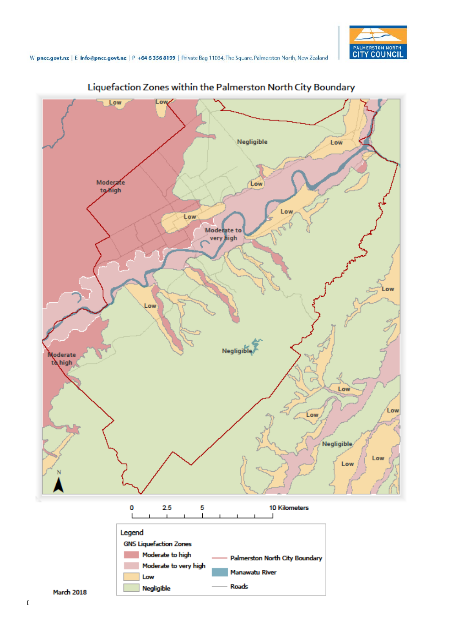



Liquefaction Zones within the Palmerston North City Boundary

Negligible